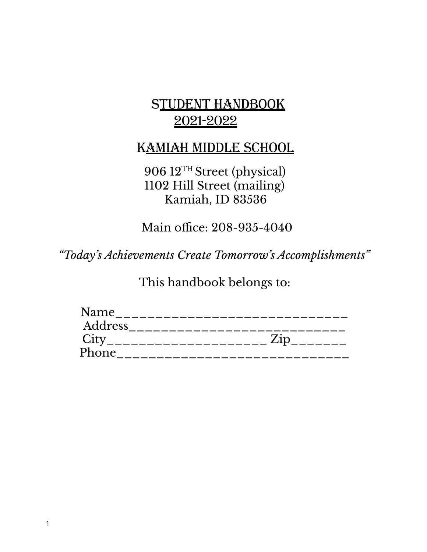# STUDENT HANDBOOK 2021-2022

# KAMIAH MIDDLE SCHOOL

906 12 TH Street (physical) 1102 Hill Street (mailing) Kamiah, ID 83536

Main office: 208-935-4040

*"Today ' s Achievements Create Tomorrow ' s Accomplishments "*

This handbook belongs to:

| Name    |                       |
|---------|-----------------------|
| Address |                       |
| City    | Zip<br>______________ |
| Phone   |                       |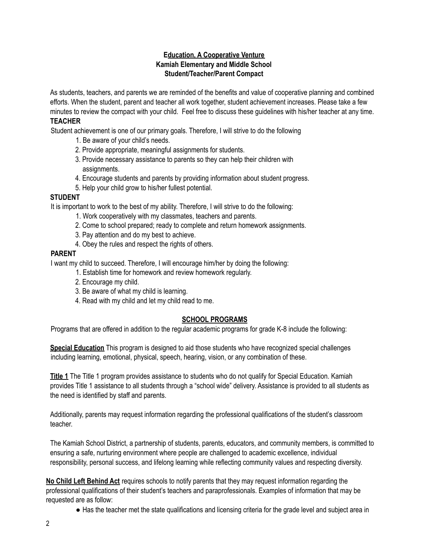#### **Education, A Cooperative Venture Kamiah Elementary and Middle School Student/Teacher/Parent Compact**

As students, teachers, and parents we are reminded of the benefits and value of cooperative planning and combined efforts. When the student, parent and teacher all work together, student achievement increases. Please take a few minutes to review the compact with your child. Feel free to discuss these guidelines with his/her teacher at any time.

#### **TEACHER**

Student achievement is one of our primary goals. Therefore, I will strive to do the following

- 1. Be aware of your child's needs.
- 2. Provide appropriate, meaningful assignments for students.
- 3. Provide necessary assistance to parents so they can help their children with assignments.
- 4. Encourage students and parents by providing information about student progress.
- 5. Help your child grow to his/her fullest potential.

## **STUDENT**

It is important to work to the best of my ability. Therefore, I will strive to do the following:

- 1. Work cooperatively with my classmates, teachers and parents.
- 2. Come to school prepared; ready to complete and return homework assignments.
- 3. Pay attention and do my best to achieve.
- 4. Obey the rules and respect the rights of others.

#### **PARENT**

I want my child to succeed. Therefore, I will encourage him/her by doing the following:

- 1. Establish time for homework and review homework regularly.
- 2. Encourage my child.
- 3. Be aware of what my child is learning.
- 4. Read with my child and let my child read to me.

## **SCHOOL PROGRAMS**

Programs that are offered in addition to the regular academic programs for grade K-8 include the following:

**Special Education** This program is designed to aid those students who have recognized special challenges including learning, emotional, physical, speech, hearing, vision, or any combination of these.

**Title 1** The Title 1 program provides assistance to students who do not qualify for Special Education. Kamiah provides Title 1 assistance to all students through a "school wide" delivery. Assistance is provided to all students as the need is identified by staff and parents.

Additionally, parents may request information regarding the professional qualifications of the student's classroom teacher.

The Kamiah School District, a partnership of students, parents, educators, and community members, is committed to ensuring a safe, nurturing environment where people are challenged to academic excellence, individual responsibility, personal success, and lifelong learning while reflecting community values and respecting diversity.

**No Child Left Behind Act** requires schools to notify parents that they may request information regarding the professional qualifications of their student's teachers and paraprofessionals. Examples of information that may be requested are as follow:

● Has the teacher met the state qualifications and licensing criteria for the grade level and subject area in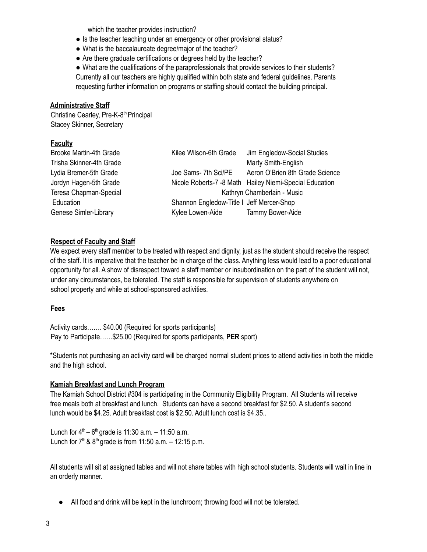which the teacher provides instruction?

- Is the teacher teaching under an emergency or other provisional status?
- What is the baccalaureate degree/major of the teacher?
- Are there graduate certifications or degrees held by the teacher?

● What are the qualifications of the paraprofessionals that provide services to their students? Currently all our teachers are highly qualified within both state and federal guidelines. Parents requesting further information on programs or staffing should contact the building principal.

#### **Administrative Staff**

Christine Cearley, Pre-K-8<sup>th</sup> Principal Stacey Skinner, Secretary

## **Faculty**

| <b>Brooke Martin-4th Grade</b> | Kilee Wilson-6th Grade                    | Jim Engledow-Social Studies                             |
|--------------------------------|-------------------------------------------|---------------------------------------------------------|
| Trisha Skinner-4th Grade       |                                           | Marty Smith-English                                     |
| Lydia Bremer-5th Grade         | Joe Sams- 7th Sci/PE                      | Aeron O'Brien 8th Grade Science                         |
| Jordyn Hagen-5th Grade         |                                           | Nicole Roberts-7 -8 Math Hailey Niemi-Special Education |
| Teresa Chapman-Special         |                                           | Kathryn Chamberlain - Music                             |
| Education                      | Shannon Engledow-Title I Jeff Mercer-Shop |                                                         |
| Genese Simler-Library          | Kylee Lowen-Aide                          | Tammy Bower-Aide                                        |

## **Respect of Faculty and Staff**

We expect every staff member to be treated with respect and dignity, just as the student should receive the respect of the staff. It is imperative that the teacher be in charge of the class. Anything less would lead to a poor educational opportunity for all. A show of disrespect toward a staff member or insubordination on the part of the student will not, under any circumstances, be tolerated. The staff is responsible for supervision of students anywhere on school property and while at school-sponsored activities.

## **Fees**

Activity cards……. \$40.00 (Required for sports participants) Pay to Participate……\$25.00 (Required for sports participants, **PER** sport)

\*Students not purchasing an activity card will be charged normal student prices to attend activities in both the middle and the high school.

## **Kamiah Breakfast and Lunch Program**

The Kamiah School District #304 is participating in the Community Eligibility Program. All Students will receive free meals both at breakfast and lunch. Students can have a second breakfast for \$2.50. A student's second lunch would be \$4.25. Adult breakfast cost is \$2.50. Adult lunch cost is \$4.35..

Lunch for  $4^{th}$  – 6<sup>th</sup> grade is 11:30 a.m. – 11:50 a.m. Lunch for  $7<sup>th</sup>$  &  $8<sup>th</sup>$  grade is from 11:50 a.m.  $-$  12:15 p.m.

All students will sit at assigned tables and will not share tables with high school students. Students will wait in line in an orderly manner.

● All food and drink will be kept in the lunchroom; throwing food will not be tolerated.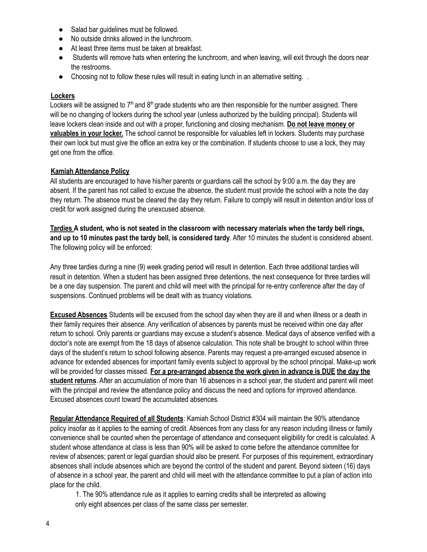- Salad bar quidelines must be followed.
- No outside drinks allowed in the lunchroom.
- At least three items must be taken at breakfast.
- Students will remove hats when entering the lunchroom, and when leaving, will exit through the doors near the restrooms.
- Choosing not to follow these rules will result in eating lunch in an alternative setting. .

## **Lockers**

Lockers will be assigned to  $7<sup>th</sup>$  and  $8<sup>th</sup>$  grade students who are then responsible for the number assigned. There will be no changing of lockers during the school year (unless authorized by the building principal). Students will leave lockers clean inside and out with a proper, functioning and closing mechanism. **Do not leave money or valuables in your locker.** The school cannot be responsible for valuables left in lockers. Students may purchase their own lock but must give the office an extra key or the combination. If students choose to use a lock, they may get one from the office.

## **Kamiah Attendance Policy**

All students are encouraged to have his/her parents or guardians call the school by 9:00 a.m. the day they are absent. If the parent has not called to excuse the absence, the student must provide the school with a note the day they return. The absence must be cleared the day they return. Failure to comply will result in detention and/or loss of credit for work assigned during the unexcused absence.

Tardies A student, who is not seated in the classroom with necessary materials when the tardy bell rings, **and up to 10 minutes past the tardy bell, is considered tardy**. After 10 minutes the student is considered absent. The following policy will be enforced:

Any three tardies during a nine (9) week grading period will result in detention. Each three additional tardies will result in detention. When a student has been assigned three detentions, the next consequence for three tardies will be a one day suspension. The parent and child will meet with the principal for re-entry conference after the day of suspensions. Continued problems will be dealt with as truancy violations.

**Excused Absences** Students will be excused from the school day when they are ill and when illness or a death in their family requires their absence. Any verification of absences by parents must be received within one day after return to school. Only parents or guardians may excuse a student's absence. Medical days of absence verified with a doctor's note are exempt from the 18 days of absence calculation. This note shall be brought to school within three days of the student's return to school following absence. Parents may request a pre-arranged excused absence in advance for extended absences for important family events subject to approval by the school principal. Make-up work will be provided for classes missed. **For a pre-arranged absence the work given in advance is DUE the day the student returns**. After an accumulation of more than 16 absences in a school year, the student and parent will meet with the principal and review the attendance policy and discuss the need and options for improved attendance. Excused absences count toward the accumulated absences.

**Regular Attendance Required of all Students**: Kamiah School District #304 will maintain the 90% attendance policy insofar as it applies to the earning of credit. Absences from any class for any reason including illness or family convenience shall be counted when the percentage of attendance and consequent eligibility for credit is calculated. A student whose attendance at class is less than 90% will be asked to come before the attendance committee for review of absences; parent or legal guardian should also be present. For purposes of this requirement, extraordinary absences shall include absences which are beyond the control of the student and parent. Beyond sixteen (16) days of absence in a school year, the parent and child will meet with the attendance committee to put a plan of action into place for the child.

1. The 90% attendance rule as it applies to earning credits shall be interpreted as allowing only eight absences per class of the same class per semester.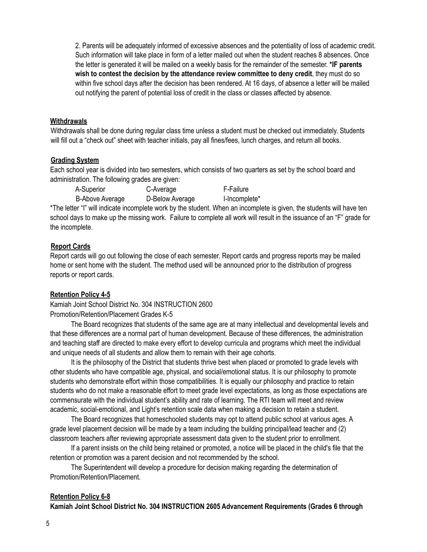2. Parents will be adequately informed of excessive absences and the potentiality of loss of academic credit. Such information will take place in form of a letter mailed out when the student reaches 8 absences. Once the letter is generated it will be mailed on a weekly basis for the remainder of the semester. **\*IF parents wish to contest the decision by the attendance review committee to deny credit**, they must do so within five school days after the decision has been rendered. At 16 days, of absence a letter will be mailed out notifying the parent of potential loss of credit in the class or classes affected by absence.

#### **Withdrawals**

Withdrawals shall be done during regular class time unless a student must be checked out immediately. Students will fill out a "check out" sheet with teacher initials, pay all fines/fees, lunch charges, and return all books.

#### **Grading System**

Each school year is divided into two semesters, which consists of two quarters as set by the school board and administration. The following grades are given:

A-Superior C-Average F-Failure B-Above Average D-Below Average I-Incomplete\*

\*The letter "I" will indicate incomplete work by the student. When an incomplete is given, the students will have ten school days to make up the missing work. Failure to complete all work will result in the issuance of an "F" grade for the incomplete.

#### **Report Cards**

Report cards will go out following the close of each semester. Report cards and progress reports may be mailed home or sent home with the student. The method used will be announced prior to the distribution of progress reports or report cards.

#### **Retention Policy 4-5**

Kamiah Joint School District No. 304 INSTRUCTION 2600 Promotion/Retention/Placement Grades K-5

The Board recognizes that students of the same age are at many intellectual and developmental levels and that these differences are a normal part of human development. Because of these differences, the administration and teaching staff are directed to make every effort to develop curricula and programs which meet the individual and unique needs of all students and allow them to remain with their age cohorts.

It is the philosophy of the District that students thrive best when placed or promoted to grade levels with other students who have compatible age, physical, and social/emotional status. It is our philosophy to promote students who demonstrate effort within those compatibilities. It is equally our philosophy and practice to retain students who do not make a reasonable effort to meet grade level expectations, as long as those expectations are commensurate with the individual student's ability and rate of learning. The RTI team will meet and review academic, social-emotional, and Light's retention scale data when making a decision to retain a student.

The Board recognizes that homeschooled students may opt to attend public school at various ages. A grade level placement decision will be made by a team including the building principal/lead teacher and (2) classroom teachers after reviewing appropriate assessment data given to the student prior to enrollment.

If a parent insists on the child being retained or promoted, a notice will be placed in the child's file that the retention or promotion was a parent decision and not recommended by the school.

The Superintendent will develop a procedure for decision making regarding the determination of Promotion/Retention/Placement.

## **Retention Policy 6-8**

**Kamiah Joint School District No. 304 INSTRUCTION 2605 Advancement Requirements (Grades 6 through**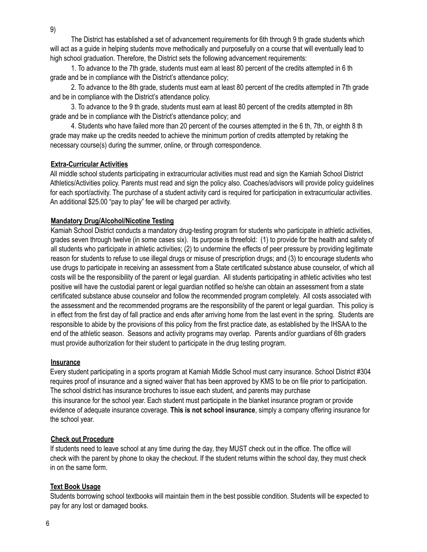The District has established a set of advancement requirements for 6th through 9 th grade students which will act as a guide in helping students move methodically and purposefully on a course that will eventually lead to high school graduation. Therefore, the District sets the following advancement requirements:

1. To advance to the 7th grade, students must earn at least 80 percent of the credits attempted in 6 th grade and be in compliance with the District's attendance policy;

2. To advance to the 8th grade, students must earn at least 80 percent of the credits attempted in 7th grade and be in compliance with the District's attendance policy.

3. To advance to the 9 th grade, students must earn at least 80 percent of the credits attempted in 8th grade and be in compliance with the District's attendance policy; and

4. Students who have failed more than 20 percent of the courses attempted in the 6 th, 7th, or eighth 8 th grade may make up the credits needed to achieve the minimum portion of credits attempted by retaking the necessary course(s) during the summer, online, or through correspondence.

#### **Extra-Curricular Activities**

All middle school students participating in extracurricular activities must read and sign the Kamiah School District Athletics/Activities policy. Parents must read and sign the policy also. Coaches/advisors will provide policy guidelines for each sport/activity. The purchase of a student activity card is required for participation in extracurricular activities. An additional \$25.00 "pay to play" fee will be charged per activity.

#### **Mandatory Drug/Alcohol/Nicotine Testing**

Kamiah School District conducts a mandatory drug-testing program for students who participate in athletic activities, grades seven through twelve (in some cases six). Its purpose is threefold: (1) to provide for the health and safety of all students who participate in athletic activities; (2) to undermine the effects of peer pressure by providing legitimate reason for students to refuse to use illegal drugs or misuse of prescription drugs; and (3) to encourage students who use drugs to participate in receiving an assessment from a State certificated substance abuse counselor, of which all costs will be the responsibility of the parent or legal guardian. All students participating in athletic activities who test positive will have the custodial parent or legal guardian notified so he/she can obtain an assessment from a state certificated substance abuse counselor and follow the recommended program completely. All costs associated with the assessment and the recommended programs are the responsibility of the parent or legal guardian. This policy is in effect from the first day of fall practice and ends after arriving home from the last event in the spring. Students are responsible to abide by the provisions of this policy from the first practice date, as established by the IHSAA to the end of the athletic season. Seasons and activity programs may overlap. Parents and/or guardians of 6th graders must provide authorization for their student to participate in the drug testing program.

#### **Insurance**

Every student participating in a sports program at Kamiah Middle School must carry insurance. School District #304 requires proof of insurance and a signed waiver that has been approved by KMS to be on file prior to participation. The school district has insurance brochures to issue each student, and parents may purchase this insurance for the school year. Each student must participate in the blanket insurance program or provide evidence of adequate insurance coverage. **This is not school insurance**, simply a company offering insurance for the school year.

#### **Check out Procedure**

If students need to leave school at any time during the day, they MUST check out in the office. The office will check with the parent by phone to okay the checkout. If the student returns within the school day, they must check in on the same form.

#### **Text Book Usage**

Students borrowing school textbooks will maintain them in the best possible condition. Students will be expected to pay for any lost or damaged books.

6

9)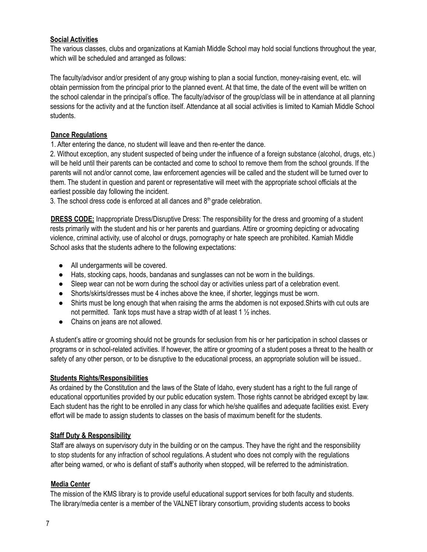## **Social Activities**

The various classes, clubs and organizations at Kamiah Middle School may hold social functions throughout the year, which will be scheduled and arranged as follows:

The faculty/advisor and/or president of any group wishing to plan a social function, money-raising event, etc. will obtain permission from the principal prior to the planned event. At that time, the date of the event will be written on the school calendar in the principal's office. The faculty/advisor of the group/class will be in attendance at all planning sessions for the activity and at the function itself. Attendance at all social activities is limited to Kamiah Middle School students.

## **Dance Regulations**

1. After entering the dance, no student will leave and then re-enter the dance.

2. Without exception, any student suspected of being under the influence of a foreign substance (alcohol, drugs, etc.) will be held until their parents can be contacted and come to school to remove them from the school grounds. If the parents will not and/or cannot come, law enforcement agencies will be called and the student will be turned over to them. The student in question and parent or representative will meet with the appropriate school officials at the earliest possible day following the incident.

3. The school dress code is enforced at all dances and  $8<sup>th</sup>$  grade celebration.

**DRESS CODE:** Inappropriate Dress/Disruptive Dress: The responsibility for the dress and grooming of a student rests primarily with the student and his or her parents and guardians. Attire or grooming depicting or advocating violence, criminal activity, use of alcohol or drugs, pornography or hate speech are prohibited. Kamiah Middle School asks that the students adhere to the following expectations:

- All undergarments will be covered.
- Hats, stocking caps, hoods, bandanas and sunglasses can not be worn in the buildings.
- Sleep wear can not be worn during the school day or activities unless part of a celebration event.
- Shorts/skirts/dresses must be 4 inches above the knee, if shorter, leggings must be worn.
- Shirts must be long enough that when raising the arms the abdomen is not exposed.Shirts with cut outs are not permitted. Tank tops must have a strap width of at least 1 ½ inches.
- Chains on jeans are not allowed.

A student's attire or grooming should not be grounds for seclusion from his or her participation in school classes or programs or in school-related activities. If however, the attire or grooming of a student poses a threat to the health or safety of any other person, or to be disruptive to the educational process, an appropriate solution will be issued..

## **Students Rights/Responsibilities**

As ordained by the Constitution and the laws of the State of Idaho, every student has a right to the full range of educational opportunities provided by our public education system. Those rights cannot be abridged except by law. Each student has the right to be enrolled in any class for which he/she qualifies and adequate facilities exist. Every effort will be made to assign students to classes on the basis of maximum benefit for the students.

## **Staff Duty & Responsibility**

Staff are always on supervisory duty in the building or on the campus. They have the right and the responsibility to stop students for any infraction of school regulations. A student who does not comply with the regulations after being warned, or who is defiant of staff's authority when stopped, will be referred to the administration.

## **Media Center**

The mission of the KMS library is to provide useful educational support services for both faculty and students. The library/media center is a member of the VALNET library consortium, providing students access to books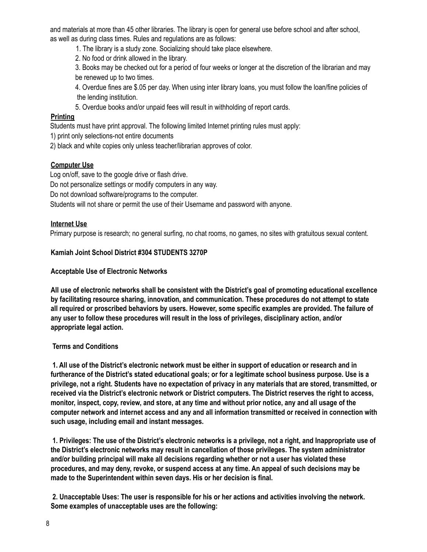and materials at more than 45 other libraries. The library is open for general use before school and after school, as well as during class times. Rules and regulations are as follows:

1. The library is a study zone. Socializing should take place elsewhere.

2. No food or drink allowed in the library.

3. Books may be checked out for a period of four weeks or longer at the discretion of the librarian and may be renewed up to two times.

4. Overdue fines are \$.05 per day. When using inter library loans, you must follow the loan/fine policies of the lending institution.

5. Overdue books and/or unpaid fees will result in withholding of report cards.

## **Printing**

Students must have print approval. The following limited Internet printing rules must apply:

1) print only selections-not entire documents

2) black and white copies only unless teacher/librarian approves of color.

## **Computer Use**

Log on/off, save to the google drive or flash drive.

Do not personalize settings or modify computers in any way.

Do not download software/programs to the computer.

Students will not share or permit the use of their Username and password with anyone.

## **Internet Use**

Primary purpose is research; no general surfing, no chat rooms, no games, no sites with gratuitous sexual content.

## **Kamiah Joint School District #304 STUDENTS 3270P**

## **Acceptable Use of Electronic Networks**

**All use of electronic networks shall be consistent with the District's goal of promoting educational excellence by facilitating resource sharing, innovation, and communication. These procedures do not attempt to state all required or proscribed behaviors by users. However, some specific examples are provided. The failure of any user to follow these procedures will result in the loss of privileges, disciplinary action, and/or appropriate legal action.**

## **Terms and Conditions**

1. All use of the District's electronic network must be either in support of education or research and in furtherance of the District's stated educational goals; or for a legitimate school business purpose. Use is a privilege, not a right. Students have no expectation of privacy in any materials that are stored, transmitted, or **received via the District's electronic network or District computers. The District reserves the right to access,** monitor, inspect, copy, review, and store, at any time and without prior notice, any and all usage of the **computer network and internet access and any and all information transmitted or received in connection with such usage, including email and instant messages.**

1. Privileges: The use of the District's electronic networks is a privilege, not a right, and Inappropriate use of **the District's electronic networks may result in cancellation of those privileges. The system administrator and/or building principal will make all decisions regarding whether or not a user has violated these** procedures, and may deny, revoke, or suspend access at any time. An appeal of such decisions may be **made to the Superintendent within seven days. His or her decision is final.**

2. Unacceptable Uses: The user is responsible for his or her actions and activities involving the network. **Some examples of unacceptable uses are the following:**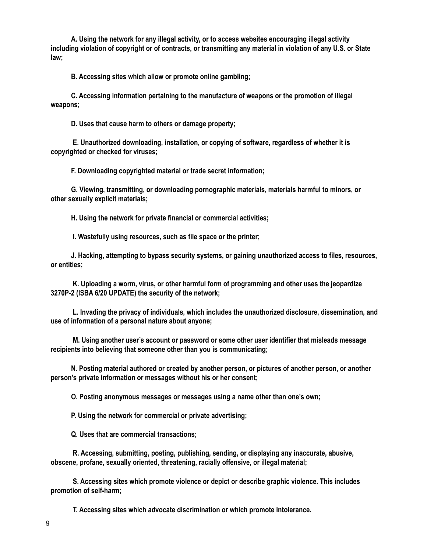**A. Using the network for any illegal activity, or to access websites encouraging illegal activity** including violation of copyright or of contracts, or transmitting any material in violation of any U.S. or State **law;**

**B. Accessing sites which allow or promote online gambling;**

**C. Accessing information pertaining to the manufacture of weapons or the promotion of illegal weapons;**

**D. Uses that cause harm to others or damage property;**

**E. Unauthorized downloading, installation, or copying of software, regardless of whether it is copyrighted or checked for viruses;**

**F. Downloading copyrighted material or trade secret information;**

**G. Viewing, transmitting, or downloading pornographic materials, materials harmful to minors, or other sexually explicit materials;**

**H. Using the network for private financial or commercial activities;**

**I. Wastefully using resources, such as file space or the printer;**

**J. Hacking, attempting to bypass security systems, or gaining unauthorized access to files, resources, or entities;**

**K. Uploading a worm, virus, or other harmful form of programming and other uses the jeopardize 3270P-2 (ISBA 6/20 UPDATE) the security of the network;**

**L. Invading the privacy of individuals, which includes the unauthorized disclosure, dissemination, and use of information of a personal nature about anyone;**

**M. Using another user's account or password or some other user identifier that misleads message recipients into believing that someone other than you is communicating;**

**N. Posting material authored or created by another person, or pictures of another person, or another person's private information or messages without his or her consent;**

**O. Posting anonymous messages or messages using a name other than one's own;**

**P. Using the network for commercial or private advertising;**

**Q. Uses that are commercial transactions;**

**R. Accessing, submitting, posting, publishing, sending, or displaying any inaccurate, abusive, obscene, profane, sexually oriented, threatening, racially offensive, or illegal material;**

**S. Accessing sites which promote violence or depict or describe graphic violence. This includes promotion of self-harm;**

**T. Accessing sites which advocate discrimination or which promote intolerance.**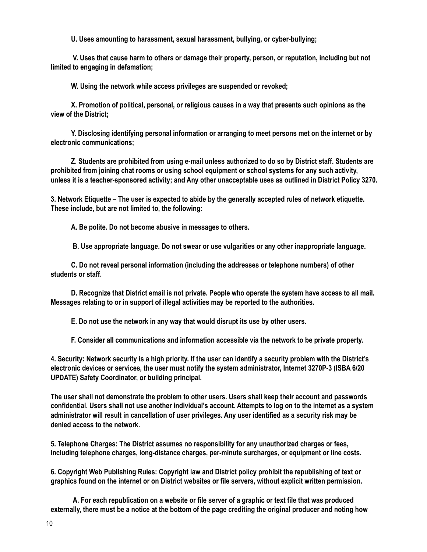**U. Uses amounting to harassment, sexual harassment, bullying, or cyber-bullying;**

**V. Uses that cause harm to others or damage their property, person, or reputation, including but not limited to engaging in defamation;**

**W. Using the network while access privileges are suspended or revoked;**

**X. Promotion of political, personal, or religious causes in a way that presents such opinions as the view of the District;**

**Y. Disclosing identifying personal information or arranging to meet persons met on the internet or by electronic communications;**

**Z. Students are prohibited from using e-mail unless authorized to do so by District staff. Students are prohibited from joining chat rooms or using school equipment or school systems for any such activity,** unless it is a teacher-sponsored activity; and Any other unacceptable uses as outlined in District Policy 3270.

3. Network Etiquette - The user is expected to abide by the generally accepted rules of network etiquette. **These include, but are not limited to, the following:**

**A. Be polite. Do not become abusive in messages to others.**

**B. Use appropriate language. Do not swear or use vulgarities or any other inappropriate language.**

**C. Do not reveal personal information (including the addresses or telephone numbers) of other students or staff.**

D. Recognize that District email is not private. People who operate the system have access to all mail. **Messages relating to or in support of illegal activities may be reported to the authorities.**

**E. Do not use the network in any way that would disrupt its use by other users.**

**F. Consider all communications and information accessible via the network to be private property.**

4. Security: Network security is a high priority. If the user can identify a security problem with the District's **electronic devices or services, the user must notify the system administrator, Internet 3270P-3 (ISBA 6/20 UPDATE) Safety Coordinator, or building principal.**

**The user shall not demonstrate the problem to other users. Users shall keep their account and passwords** confidential. Users shall not use another individual's account. Attempts to log on to the internet as a system administrator will result in cancellation of user privileges. Any user identified as a security risk may be **denied access to the network.**

**5. Telephone Charges: The District assumes no responsibility for any unauthorized charges or fees, including telephone charges, long-distance charges, per-minute surcharges, or equipment or line costs.**

**6. Copyright Web Publishing Rules: Copyright law and District policy prohibit the republishing of text or graphics found on the internet or on District websites or file servers, without explicit written permission.**

A. For each republication on a website or file server of a graphic or text file that was produced externally, there must be a notice at the bottom of the page crediting the original producer and noting how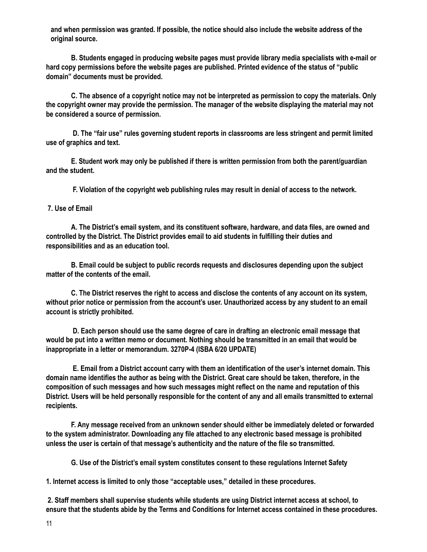**and when permission was granted. If possible, the notice should also include the website address of the original source.**

**B. Students engaged in producing website pages must provide library media specialists with e-mail or hard copy permissions before the website pages are published. Printed evidence of the status of "public domain" documents must be provided.**

C. The absence of a copyright notice may not be interpreted as permission to copy the materials. Only the copyright owner may provide the permission. The manager of the website displaying the material may not **be considered a source of permission.**

**D. The "fair use" rules governing student reports in classrooms are less stringent and permit limited use of graphics and text.**

**E. Student work may only be published if there is written permission from both the parent/guardian and the student.**

**F. Violation of the copyright web publishing rules may result in denial of access to the network.**

#### **7. Use of Email**

**A. The District's email system, and its constituent software, hardware, and data files, are owned and controlled by the District. The District provides email to aid students in fulfilling their duties and responsibilities and as an education tool.**

**B. Email could be subject to public records requests and disclosures depending upon the subject matter of the contents of the email.**

C. The District reserves the right to access and disclose the contents of any account on its system, without prior notice or permission from the account's user. Unauthorized access by any student to an email **account is strictly prohibited.**

**D. Each person should use the same degree of care in drafting an electronic email message that** would be put into a written memo or document. Nothing should be transmitted in an email that would be **inappropriate in a letter or memorandum. 3270P-4 (ISBA 6/20 UPDATE)**

**E. Email from a District account carry with them an identification of the user's internet domain. This** domain name identifies the author as being with the District. Great care should be taken, therefore, in the **composition of such messages and how such messages might reflect on the name and reputation of this** District. Users will be held personally responsible for the content of any and all emails transmitted to external **recipients.**

**F. Any message received from an unknown sender should either be immediately deleted or forwarded to the system administrator. Downloading any file attached to any electronic based message is prohibited unless the user is certain of that message's authenticity and the nature of the file so transmitted.**

**G. Use of the District's email system constitutes consent to these regulations Internet Safety**

**1. Internet access is limited to only those "acceptable uses," detailed in these procedures.**

**2. Staff members shall supervise students while students are using District internet access at school, to** ensure that the students abide by the Terms and Conditions for Internet access contained in these procedures.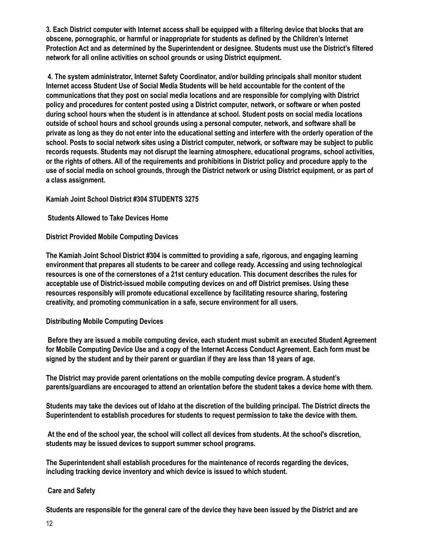3. Each District computer with Internet access shall be equipped with a filtering device that blocks that are **obscene, pornographic, or harmful or inappropriate for students as defined by the Children's Internet Protection Act and as determined by the Superintendent or designee. Students must use the District's filtered network for all online activities on school grounds or using District equipment.**

**4. The system administrator, Internet Safety Coordinator, and/or building principals shall monitor student Internet access Student Use of Social Media Students will be held accountable for the content of the communications that they post on social media locations and are responsible for complying with District policy and procedures for content posted using a District computer, network, or software or when posted during school hours when the student is in attendance at school. Student posts on social media locations outside of school hours and school grounds using a personal computer, network, and software shall be** private as long as they do not enter into the educational setting and interfere with the orderly operation of the school. Posts to social network sites using a District computer, network, or software may be subject to public **records requests. Students may not disrupt the learning atmosphere, educational programs, school activities,** or the rights of others. All of the requirements and prohibitions in District policy and procedure apply to the use of social media on school grounds, through the District network or using District equipment, or as part of **a class assignment.**

**Kamiah Joint School District #304 STUDENTS 3275**

**Students Allowed to Take Devices Home**

**District Provided Mobile Computing Devices**

**The Kamiah Joint School District #304 is committed to providing a safe, rigorous, and engaging learning environment that prepares all students to be career and college ready. Accessing and using technological resources is one of the cornerstones of a 21st century education. This document describes the rules for acceptable use of District-issued mobile computing devices on and off District premises. Using these resources responsibly will promote educational excellence by facilitating resource sharing, fostering creativity, and promoting communication in a safe, secure environment for all users.**

## **Distributing Mobile Computing Devices**

**Before they are issued a mobile computing device, each student must submit an executed Student Agreement** for Mobile Computing Device Use and a copy of the Internet Access Conduct Agreement. Each form must be signed by the student and by their parent or quardian if they are less than 18 years of age.

**The District may provide parent orientations on the mobile computing device program. A student's parents/guardians are encouraged to attend an orientation before the student takes a device home with them.**

Students may take the devices out of Idaho at the discretion of the building principal. The District directs the **Superintendent to establish procedures for students to request permission to take the device with them.**

At the end of the school year, the school will collect all devices from students. At the school's discretion, **students may be issued devices to support summer school programs.**

**The Superintendent shall establish procedures for the maintenance of records regarding the devices, including tracking device inventory and which device is issued to which student.**

## **Care and Safety**

Students are responsible for the general care of the device they have been issued by the District and are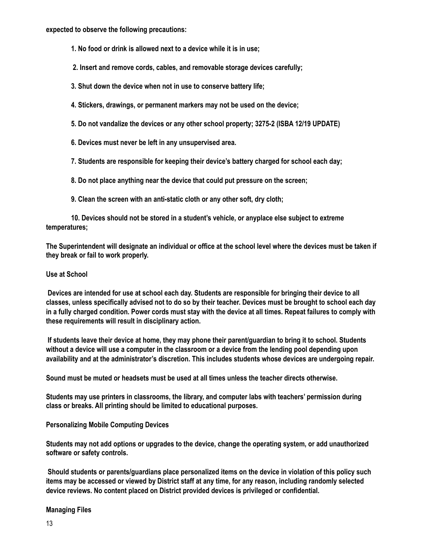**expected to observe the following precautions:**

- **1. No food or drink is allowed next to a device while it is in use;**
- **2. Insert and remove cords, cables, and removable storage devices carefully;**
- **3. Shut down the device when not in use to conserve battery life;**
- **4. Stickers, drawings, or permanent markers may not be used on the device;**
- **5. Do not vandalize the devices or any other school property; 3275-2 (ISBA 12/19 UPDATE)**
- **6. Devices must never be left in any unsupervised area.**
- **7. Students are responsible for keeping their device's battery charged for school each day;**
- **8. Do not place anything near the device that could put pressure on the screen;**
- **9. Clean the screen with an anti-static cloth or any other soft, dry cloth;**

**10. Devices should not be stored in a student's vehicle, or anyplace else subject to extreme temperatures;**

The Superintendent will designate an individual or office at the school level where the devices must be taken if **they break or fail to work properly.**

#### **Use at School**

Devices are intended for use at school each day. Students are responsible for bringing their device to all classes, unless specifically advised not to do so by their teacher. Devices must be brought to school each day in a fully charged condition. Power cords must stay with the device at all times. Repeat failures to comply with **these requirements will result in disciplinary action.**

If students leave their device at home, they may phone their parent/guardian to bring it to school. Students without a device will use a computer in the classroom or a device from the lending pool depending upon **availability and at the administrator's discretion. This includes students whose devices are undergoing repair.**

**Sound must be muted or headsets must be used at all times unless the teacher directs otherwise.**

**Students may use printers in classrooms, the library, and computer labs with teachers' permission during class or breaks. All printing should be limited to educational purposes.**

## **Personalizing Mobile Computing Devices**

**Students may not add options or upgrades to the device, change the operating system, or add unauthorized software or safety controls.**

**Should students or parents/guardians place personalized items on the device in violation of this policy such** items may be accessed or viewed by District staff at any time, for any reason, including randomly selected **device reviews. No content placed on District provided devices is privileged or confidential.**

#### **Managing Files**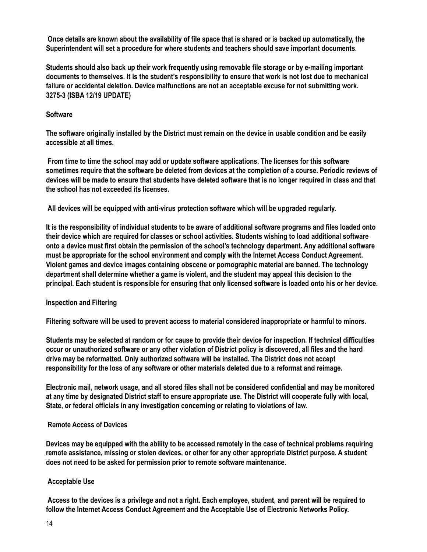Once details are known about the availability of file space that is shared or is backed up automatically, the **Superintendent will set a procedure for where students and teachers should save important documents.**

**Students should also back up their work frequently using removable file storage or by e-mailing important** documents to themselves. It is the student's responsibility to ensure that work is not lost due to mechanical **failure or accidental deletion. Device malfunctions are not an acceptable excuse for not submitting work. 3275-3 (ISBA 12/19 UPDATE)**

#### **Software**

The software originally installed by the District must remain on the device in usable condition and be easily **accessible at all times.**

**From time to time the school may add or update software applications. The licenses for this software** sometimes require that the software be deleted from devices at the completion of a course. Periodic reviews of devices will be made to ensure that students have deleted software that is no longer required in class and that **the school has not exceeded its licenses.**

**All devices will be equipped with anti-virus protection software which will be upgraded regularly.**

It is the responsibility of individual students to be aware of additional software programs and files loaded onto **their device which are required for classes or school activities. Students wishing to load additional software onto a device must first obtain the permission of the school's technology department. Any additional software must be appropriate for the school environment and comply with the Internet Access Conduct Agreement. Violent games and device images containing obscene or pornographic material are banned. The technology department shall determine whether a game is violent, and the student may appeal this decision to the** principal. Each student is responsible for ensuring that only licensed software is loaded onto his or her device.

#### **Inspection and Filtering**

**Filtering software will be used to prevent access to material considered inappropriate or harmful to minors.**

Students may be selected at random or for cause to provide their device for inspection. If technical difficulties occur or unauthorized software or any other violation of District policy is discovered, all files and the hard **drive may be reformatted. Only authorized software will be installed. The District does not accept responsibility for the loss of any software or other materials deleted due to a reformat and reimage.**

Electronic mail, network usage, and all stored files shall not be considered confidential and may be monitored at any time by designated District staff to ensure appropriate use. The District will cooperate fully with local, **State, or federal officials in any investigation concerning or relating to violations of law.**

#### **Remote Access of Devices**

Devices may be equipped with the ability to be accessed remotely in the case of technical problems requiring **remote assistance, missing or stolen devices, or other for any other appropriate District purpose. A student does not need to be asked for permission prior to remote software maintenance.**

#### **Acceptable Use**

Access to the devices is a privilege and not a right. Each employee, student, and parent will be required to **follow the Internet Access Conduct Agreement and the Acceptable Use of Electronic Networks Policy.**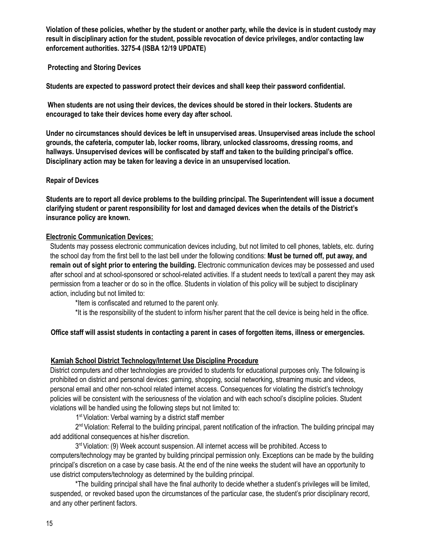Violation of these policies, whether by the student or another party, while the device is in student custody may **result in disciplinary action for the student, possible revocation of device privileges, and/or contacting law enforcement authorities. 3275-4 (ISBA 12/19 UPDATE)**

## **Protecting and Storing Devices**

**Students are expected to password protect their devices and shall keep their password confidential.**

**When students are not using their devices, the devices should be stored in their lockers. Students are encouraged to take their devices home every day after school.**

**Under no circumstances should devices be left in unsupervised areas. Unsupervised areas include the school grounds, the cafeteria, computer lab, locker rooms, library, unlocked classrooms, dressing rooms, and hallways. Unsupervised devices will be confiscated by staff and taken to the building principal's office. Disciplinary action may be taken for leaving a device in an unsupervised location.**

#### **Repair of Devices**

Students are to report all device problems to the building principal. The Superintendent will issue a document **clarifying student or parent responsibility for lost and damaged devices when the details of the District's insurance policy are known.**

#### **Electronic Communication Devices:**

Students may possess electronic communication devices including, but not limited to cell phones, tablets, etc. during the school day from the first bell to the last bell under the following conditions: **Must be turned off, put away, and remain out of sight prior to entering the building.** Electronic communication devices may be possessed and used after school and at school-sponsored or school-related activities. If a student needs to text/call a parent they may ask permission from a teacher or do so in the office. Students in violation of this policy will be subject to disciplinary action, including but not limited to:

\*Item is confiscated and returned to the parent only.

\*It is the responsibility of the student to inform his/her parent that the cell device is being held in the office.

## Office staff will assist students in contacting a parent in cases of forgotten items, illness or emergencies.

## **Kamiah School District Technology/Internet Use Discipline Procedure**

District computers and other technologies are provided to students for educational purposes only. The following is prohibited on district and personal devices: gaming, shopping, social networking, streaming music and videos, personal email and other non-school related internet access. Consequences for violating the district's technology policies will be consistent with the seriousness of the violation and with each school's discipline policies. Student violations will be handled using the following steps but not limited to:

1<sup>st</sup> Violation: Verbal warning by a district staff member

2<sup>nd</sup> Violation: Referral to the building principal, parent notification of the infraction. The building principal may add additional consequences at his/her discretion.

3<sup>rd</sup> Violation: (9) Week account suspension. All internet access will be prohibited. Access to computers/technology may be granted by building principal permission only. Exceptions can be made by the building principal's discretion on a case by case basis. At the end of the nine weeks the student will have an opportunity to use district computers/technology as determined by the building principal.

\*The building principal shall have the final authority to decide whether a student's privileges will be limited, suspended, or revoked based upon the circumstances of the particular case, the student's prior disciplinary record, and any other pertinent factors.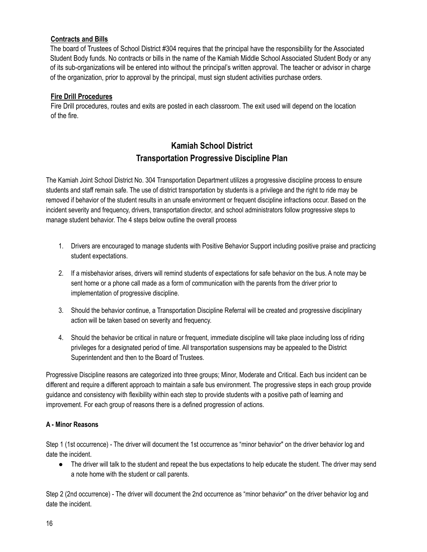## **Contracts and Bills**

The board of Trustees of School District #304 requires that the principal have the responsibility for the Associated Student Body funds. No contracts or bills in the name of the Kamiah Middle School Associated Student Body or any of its sub-organizations will be entered into without the principal's written approval. The teacher or advisor in charge of the organization, prior to approval by the principal, must sign student activities purchase orders.

#### **Fire Drill Procedures**

Fire Drill procedures, routes and exits are posted in each classroom. The exit used will depend on the location of the fire.

# **Kamiah School District Transportation Progressive Discipline Plan**

The Kamiah Joint School District No. 304 Transportation Department utilizes a progressive discipline process to ensure students and staff remain safe. The use of district transportation by students is a privilege and the right to ride may be removed if behavior of the student results in an unsafe environment or frequent discipline infractions occur. Based on the incident severity and frequency, drivers, transportation director, and school administrators follow progressive steps to manage student behavior. The 4 steps below outline the overall process

- 1. Drivers are encouraged to manage students with Positive Behavior Support including positive praise and practicing student expectations.
- 2. If a misbehavior arises, drivers will remind students of expectations for safe behavior on the bus. A note may be sent home or a phone call made as a form of communication with the parents from the driver prior to implementation of progressive discipline.
- 3. Should the behavior continue, a Transportation Discipline Referral will be created and progressive disciplinary action will be taken based on severity and frequency.
- 4. Should the behavior be critical in nature or frequent, immediate discipline will take place including loss of riding privileges for a designated period of time. All transportation suspensions may be appealed to the District Superintendent and then to the Board of Trustees.

Progressive Discipline reasons are categorized into three groups; Minor, Moderate and Critical. Each bus incident can be different and require a different approach to maintain a safe bus environment. The progressive steps in each group provide guidance and consistency with flexibility within each step to provide students with a positive path of learning and improvement. For each group of reasons there is a defined progression of actions.

#### **A - Minor Reasons**

Step 1 (1st occurrence) - The driver will document the 1st occurrence as "minor behavior" on the driver behavior log and date the incident.

● The driver will talk to the student and repeat the bus expectations to help educate the student. The driver may send a note home with the student or call parents.

Step 2 (2nd occurrence) - The driver will document the 2nd occurrence as "minor behavior" on the driver behavior log and date the incident.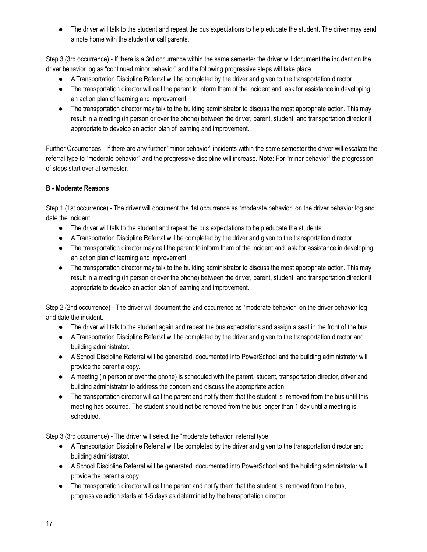The driver will talk to the student and repeat the bus expectations to help educate the student. The driver may send a note home with the student or call parents.

Step 3 (3rd occurrence) - If there is a 3rd occurrence within the same semester the driver will document the incident on the driver behavior log as "continued minor behavior" and the following progressive steps will take place.

- A Transportation Discipline Referral will be completed by the driver and given to the transportation director.
- The transportation director will call the parent to inform them of the incident and ask for assistance in developing an action plan of learning and improvement.
- The transportation director may talk to the building administrator to discuss the most appropriate action. This may result in a meeting (in person or over the phone) between the driver, parent, student, and transportation director if appropriate to develop an action plan of learning and improvement.

Further Occurrences - If there are any further "minor behavior" incidents within the same semester the driver will escalate the referral type to "moderate behavior" and the progressive discipline will increase. **Note:** For "minor behavior" the progression of steps start over at semester.

# **B - Moderate Reasons**

Step 1 (1st occurrence) - The driver will document the 1st occurrence as "moderate behavior" on the driver behavior log and date the incident.

- The driver will talk to the student and repeat the bus expectations to help educate the students.
- A Transportation Discipline Referral will be completed by the driver and given to the transportation director.
- The transportation director may call the parent to inform them of the incident and ask for assistance in developing an action plan of learning and improvement.
- The transportation director may talk to the building administrator to discuss the most appropriate action. This may result in a meeting (in person or over the phone) between the driver, parent, student, and transportation director if appropriate to develop an action plan of learning and improvement.

Step 2 (2nd occurrence) - The driver will document the 2nd occurrence as "moderate behavior" on the driver behavior log and date the incident.

- The driver will talk to the student again and repeat the bus expectations and assign a seat in the front of the bus.
- A Transportation Discipline Referral will be completed by the driver and given to the transportation director and building administrator.
- A School Discipline Referral will be generated, documented into PowerSchool and the building administrator will provide the parent a copy.
- A meeting (in person or over the phone) is scheduled with the parent, student, transportation director, driver and building administrator to address the concern and discuss the appropriate action.
- The transportation director will call the parent and notify them that the student is removed from the bus until this meeting has occurred. The student should not be removed from the bus longer than 1 day until a meeting is scheduled.

Step 3 (3rd occurrence) - The driver will select the "moderate behavior" referral type.

- A Transportation Discipline Referral will be completed by the driver and given to the transportation director and building administrator.
- A School Discipline Referral will be generated, documented into PowerSchool and the building administrator will provide the parent a copy.
- The transportation director will call the parent and notify them that the student is removed from the bus, progressive action starts at 1-5 days as determined by the transportation director.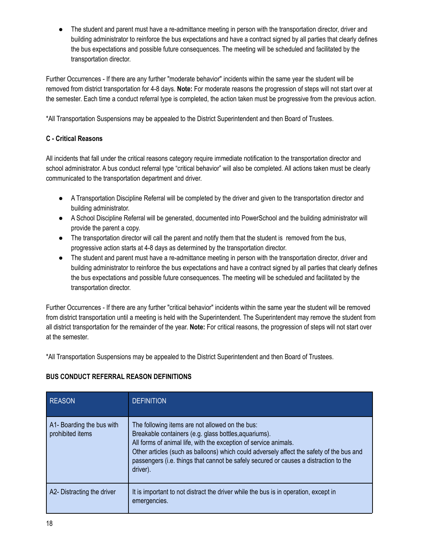The student and parent must have a re-admittance meeting in person with the transportation director, driver and building administrator to reinforce the bus expectations and have a contract signed by all parties that clearly defines the bus expectations and possible future consequences. The meeting will be scheduled and facilitated by the transportation director.

Further Occurrences - If there are any further "moderate behavior" incidents within the same year the student will be removed from district transportation for 4-8 days. **Note:** For moderate reasons the progression of steps will not start over at the semester. Each time a conduct referral type is completed, the action taken must be progressive from the previous action.

\*All Transportation Suspensions may be appealed to the District Superintendent and then Board of Trustees.

## **C - Critical Reasons**

All incidents that fall under the critical reasons category require immediate notification to the transportation director and school administrator. A bus conduct referral type "critical behavior" will also be completed. All actions taken must be clearly communicated to the transportation department and driver.

- A Transportation Discipline Referral will be completed by the driver and given to the transportation director and building administrator.
- A School Discipline Referral will be generated, documented into PowerSchool and the building administrator will provide the parent a copy.
- The transportation director will call the parent and notify them that the student is removed from the bus, progressive action starts at 4-8 days as determined by the transportation director.
- The student and parent must have a re-admittance meeting in person with the transportation director, driver and building administrator to reinforce the bus expectations and have a contract signed by all parties that clearly defines the bus expectations and possible future consequences. The meeting will be scheduled and facilitated by the transportation director.

Further Occurrences - If there are any further "critical behavior" incidents within the same year the student will be removed from district transportation until a meeting is held with the Superintendent. The Superintendent may remove the student from all district transportation for the remainder of the year. **Note:** For critical reasons, the progression of steps will not start over at the semester.

\*All Transportation Suspensions may be appealed to the District Superintendent and then Board of Trustees.

# **BUS CONDUCT REFERRAL REASON DEFINITIONS**

| <b>REASON</b>                                 | <b>DEFINITION</b>                                                                                                                                                                                                                                                                                                                                                            |
|-----------------------------------------------|------------------------------------------------------------------------------------------------------------------------------------------------------------------------------------------------------------------------------------------------------------------------------------------------------------------------------------------------------------------------------|
| A1- Boarding the bus with<br>prohibited items | The following items are not allowed on the bus:<br>Breakable containers (e.g. glass bottles, aquariums).<br>All forms of animal life, with the exception of service animals.<br>Other articles (such as balloons) which could adversely affect the safety of the bus and<br>passengers (i.e. things that cannot be safely secured or causes a distraction to the<br>driver). |
| A2- Distracting the driver                    | It is important to not distract the driver while the bus is in operation, except in<br>emergencies.                                                                                                                                                                                                                                                                          |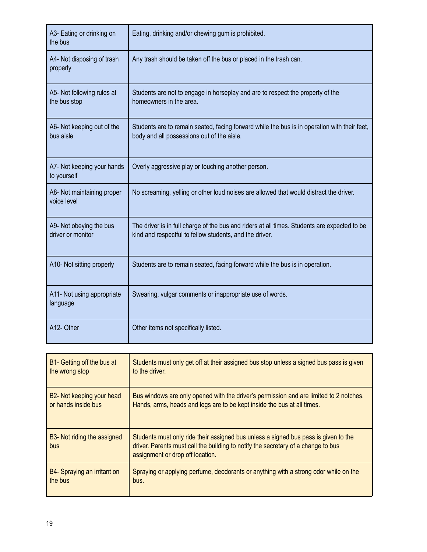| A3- Eating or drinking on<br>the bus         | Eating, drinking and/or chewing gum is prohibited.                                                                                                      |
|----------------------------------------------|---------------------------------------------------------------------------------------------------------------------------------------------------------|
| A4- Not disposing of trash<br>properly       | Any trash should be taken off the bus or placed in the trash can.                                                                                       |
| A5- Not following rules at<br>the bus stop   | Students are not to engage in horseplay and are to respect the property of the<br>homeowners in the area.                                               |
| A6- Not keeping out of the<br>bus aisle      | Students are to remain seated, facing forward while the bus is in operation with their feet,<br>body and all possessions out of the aisle.              |
| A7- Not keeping your hands<br>to yourself    | Overly aggressive play or touching another person.                                                                                                      |
| A8- Not maintaining proper<br>voice level    | No screaming, yelling or other loud noises are allowed that would distract the driver.                                                                  |
|                                              |                                                                                                                                                         |
| A9- Not obeying the bus<br>driver or monitor | The driver is in full charge of the bus and riders at all times. Students are expected to be<br>kind and respectful to fellow students, and the driver. |
| A10- Not sitting properly                    | Students are to remain seated, facing forward while the bus is in operation.                                                                            |
| A11- Not using appropriate<br>language       | Swearing, vulgar comments or inappropriate use of words.                                                                                                |

| B1- Getting off the bus at                      | Students must only get off at their assigned bus stop unless a signed bus pass is given                                                                                                                      |
|-------------------------------------------------|--------------------------------------------------------------------------------------------------------------------------------------------------------------------------------------------------------------|
| the wrong stop                                  | to the driver.                                                                                                                                                                                               |
| B2- Not keeping your head                       | Bus windows are only opened with the driver's permission and are limited to 2 notches.                                                                                                                       |
| or hands inside bus                             | Hands, arms, heads and legs are to be kept inside the bus at all times.                                                                                                                                      |
| B <sub>3</sub> - Not riding the assigned<br>bus | Students must only ride their assigned bus unless a signed bus pass is given to the<br>driver. Parents must call the building to notify the secretary of a change to bus<br>assignment or drop off location. |
| B4- Spraying an irritant on                     | Spraying or applying perfume, deodorants or anything with a strong odor while on the                                                                                                                         |
| the bus                                         | bus.                                                                                                                                                                                                         |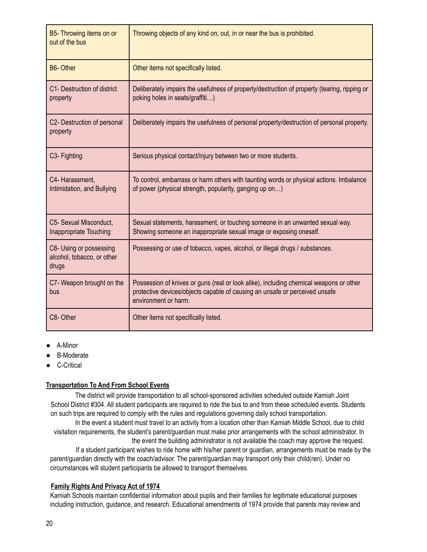| B5- Throwing items on or<br>out of the bus                     | Throwing objects of any kind on, out, in or near the bus is prohibited.                                                                                                                       |
|----------------------------------------------------------------|-----------------------------------------------------------------------------------------------------------------------------------------------------------------------------------------------|
| <b>B6-Other</b>                                                | Other items not specifically listed.                                                                                                                                                          |
| C1- Destruction of district<br>property                        | Deliberately impairs the usefulness of property/destruction of property (tearing, ripping or<br>poking holes in seats/graffiti)                                                               |
| C2- Destruction of personal<br>property                        | Deliberately impairs the usefulness of personal property/destruction of personal property.                                                                                                    |
| C <sub>3</sub> - Fighting                                      | Serious physical contact/injury between two or more students.                                                                                                                                 |
| C4- Harassment,<br>Intimidation, and Bullying                  | To control, embarrass or harm others with taunting words or physical actions. Imbalance<br>of power (physical strength, popularity, ganging up on)                                            |
| C5- Sexual Misconduct,<br>Inappropriate Touching               | Sexual statements, harassment, or touching someone in an unwanted sexual way.<br>Showing someone an inappropriate sexual image or exposing oneself.                                           |
| C6- Using or possessing<br>alcohol, tobacco, or other<br>drugs | Possessing or use of tobacco, vapes, alcohol, or illegal drugs / substances.                                                                                                                  |
| C7- Weapon brought on the<br>bus                               | Possession of knives or guns (real or look alike), including chemical weapons or other<br>protective devices/objects capable of causing an unsafe or perceived unsafe<br>environment or harm. |
| C8-Other                                                       | Other items not specifically listed.                                                                                                                                                          |

- A-Minor
- **B-Moderate**
- C-Critical

## **Transportation To And From School Events**

The district will provide transportation to all school-sponsored activities scheduled outside Kamiah Joint School District #304. All student participants are required to ride the bus to and from these scheduled events. Students on such trips are required to comply with the rules and regulations governing daily school transportation.

In the event a student must travel to an activity from a location other than Kamiah Middle School, due to child visitation requirements, the student's parent/guardian must make prior arrangements with the school administrator. In the event the building administrator is not available the coach may approve the request.

If a student participant wishes to ride home with his/her parent or guardian, arrangements must be made by the parent/guardian directly with the coach/advisor. The parent/guardian may transport only their child(ren). Under no circumstances will student participants be allowed to transport themselves.

#### **Family Rights And Privacy Act of 1974**

Kamiah Schools maintain confidential information about pupils and their families for legitimate educational purposes including instruction, guidance, and research. Educational amendments of 1974 provide that parents may review and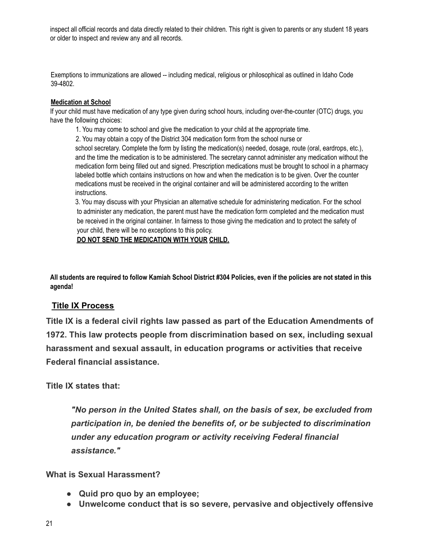inspect all official records and data directly related to their children. This right is given to parents or any student 18 years or older to inspect and review any and all records.

Exemptions to immunizations are allowed -- including medical, religious or philosophical as outlined in Idaho Code 39-4802.

## **Medication at School**

If your child must have medication of any type given during school hours, including over-the-counter (OTC) drugs, you have the following choices:

1. You may come to school and give the medication to your child at the appropriate time.

2. You may obtain a copy of the District 304 medication form from the school nurse or

school secretary. Complete the form by listing the medication(s) needed, dosage, route (oral, eardrops, etc.), and the time the medication is to be administered. The secretary cannot administer any medication without the medication form being filled out and signed. Prescription medications must be brought to school in a pharmacy labeled bottle which contains instructions on how and when the medication is to be given. Over the counter medications must be received in the original container and will be administered according to the written instructions.

3. You may discuss with your Physician an alternative schedule for administering medication. For the school to administer any medication, the parent must have the medication form completed and the medication must be received in the original container. In fairness to those giving the medication and to protect the safety of your child, there will be no exceptions to this policy.

**DO NOT SEND THE MEDICATION WITH YOUR CHILD.**

**All students are required to follow Kamiah School District #304 Policies, even if the policies are not stated in this agenda!**

# **Title IX Process**

**Title IX is a federal civil rights law passed as part of the Education Amendments of 1972. This law protects people from discrimination based on sex, including sexual harassment and sexual assault, in education programs or activities that receive Federal financial assistance.**

# **Title IX states that:**

*"No person in the United States shall, on the basis of sex, be excluded from participation in, be denied the benefits of, or be subjected to discrimination under any education program or activity receiving Federal financial assistance."*

# **What is Sexual Harassment?**

- **● Quid pro quo by an employee;**
- **● Unwelcome conduct that is so severe, pervasive and objectively offensive**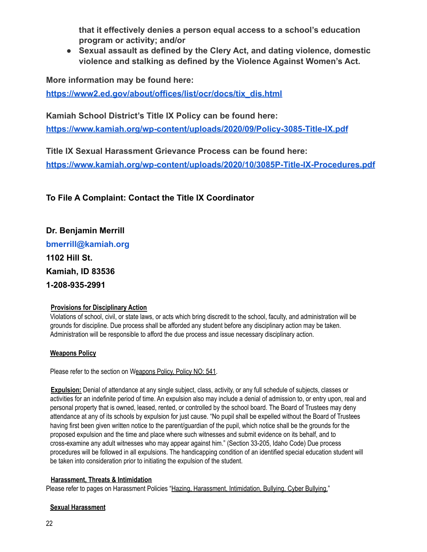**that it effectively denies a person equal access to a school's education program or activity; and/or**

**● Sexual assault as defined by the Clery Act, and dating violence, domestic violence and stalking as defined by the Violence Against Women's Act.**

**More information may be found here:**

**[https://www2.ed.gov/about/offices/list/ocr/docs/tix\\_dis.html](https://www2.ed.gov/about/offices/list/ocr/docs/tix_dis.html)**

**Kamiah School District's Title IX Policy can be found here:**

**<https://www.kamiah.org/wp-content/uploads/2020/09/Policy-3085-Title-IX.pdf>**

**Title IX Sexual Harassment Grievance Process can be found here: <https://www.kamiah.org/wp-content/uploads/2020/10/3085P-Title-IX-Procedures.pdf>**

**To File A Complaint: Contact the Title IX Coordinator**

**Dr. Benjamin Merrill bmerrill@kamiah.org 1102 Hill St. Kamiah, ID 83536 1-208-935-2991**

# **Provisions for Disciplinary Action**

Violations of school, civil, or state laws, or acts which bring discredit to the school, faculty, and administration will be grounds for discipline. Due process shall be afforded any student before any disciplinary action may be taken. Administration will be responsible to afford the due process and issue necessary disciplinary action.

# **Weapons Policy**

Please refer to the section on Weapons Policy, Policy NO: 541.

**Expulsion:** Denial of attendance at any single subject, class, activity, or any full schedule of subjects, classes or activities for an indefinite period of time. An expulsion also may include a denial of admission to, or entry upon, real and personal property that is owned, leased, rented, or controlled by the school board. The Board of Trustees may deny attendance at any of its schools by expulsion for just cause. "No pupil shall be expelled without the Board of Trustees having first been given written notice to the parent/guardian of the pupil, which notice shall be the grounds for the proposed expulsion and the time and place where such witnesses and submit evidence on its behalf, and to cross-examine any adult witnesses who may appear against him." (Section 33-205, Idaho Code) Due process procedures will be followed in all expulsions. The handicapping condition of an identified special education student will be taken into consideration prior to initiating the expulsion of the student.

## **Harassment, Threats & Intimidation**

Please refer to pages on Harassment Policies "Hazing, Harassment, Intimidation, Bullying, Cyber Bullying."

## **Sexual Harassment**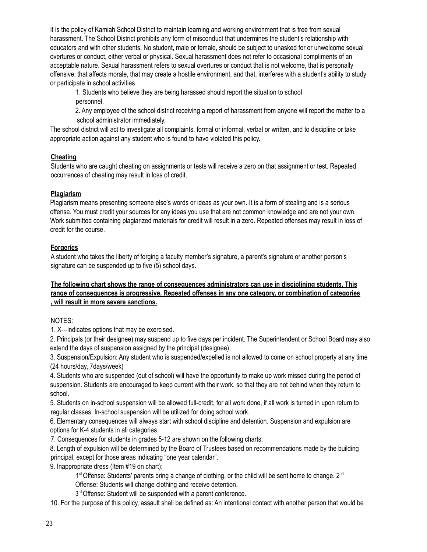It is the policy of Kamiah School District to maintain learning and working environment that is free from sexual harassment. The School District prohibits any form of misconduct that undermines the student's relationship with educators and with other students. No student, male or female, should be subject to unasked for or unwelcome sexual overtures or conduct, either verbal or physical. Sexual harassment does not refer to occasional compliments of an acceptable nature. Sexual harassment refers to sexual overtures or conduct that is not welcome, that is personally offensive, that affects morale, that may create a hostile environment, and that, interferes with a student's ability to study or participate in school activities.

1. Students who believe they are being harassed should report the situation to school personnel.

2. Any employee of the school district receiving a report of harassment from anyone will report the matter to a school administrator immediately.

The school district will act to investigate all complaints, formal or informal, verbal or written, and to discipline or take appropriate action against any student who is found to have violated this policy.

## **Cheating**

Students who are caught cheating on assignments or tests will receive a zero on that assignment or test. Repeated occurrences of cheating may result in loss of credit.

## **Plagiarism**

Plagiarism means presenting someone else's words or ideas as your own. It is a form of stealing and is a serious offense. You must credit your sources for any ideas you use that are not common knowledge and are not your own. Work submitted containing plagiarized materials for credit will result in a zero. Repeated offenses may result in loss of credit for the course.

## **Forgeries**

A student who takes the liberty of forging a faculty member's signature, a parent's signature or another person's signature can be suspended up to five (5) school days.

#### **The following chart shows the range of consequences administrators can use in disciplining students. This range of consequences is progressive. Repeated offenses in any one category, or combination of categories , will result in more severe sanctions.**

## NOTES:

1. X---indicates options that may be exercised.

2. Principals (or their designee) may suspend up to five days per incident. The Superintendent or School Board may also extend the days of suspension assigned by the principal (designee).

3. Suspension/Expulsion: Any student who is suspended/expelled is not allowed to come on school property at any time (24 hours/day, 7days/week)

4. Students who are suspended (out of school) will have the opportunity to make up work missed during the period of suspension. Students are encouraged to keep current with their work, so that they are not behind when they return to school.

5. Students on in-school suspension will be allowed full-credit, for all work done, if all work is turned in upon return to regular classes. In-school suspension will be utilized for doing school work.

6. Elementary consequences will always start with school discipline and detention. Suspension and expulsion are options for K-4 students in all categories.

7. Consequences for students in grades 5-12 are shown on the following charts.

8. Length of expulsion will be determined by the Board of Trustees based on recommendations made by the building principal, except for those areas indicating "one year calendar".

9. Inappropriate dress (Item #19 on chart):

1<sup>st</sup> Offense: Students' parents bring a change of clothing, or the child will be sent home to change. 2<sup>nd</sup>

Offense: Students will change clothing and receive detention. 3<sup>rd</sup> Offense: Student will be suspended with a parent conference.

10. For the purpose of this policy, assault shall be defined as: An intentional contact with another person that would be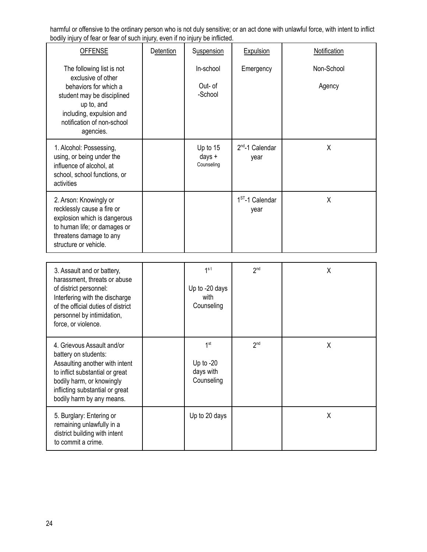harmful or offensive to the ordinary person who is not duly sensitive; or an act done with unlawful force, with intent to inflict bodily injury of fear or fear of such injury, even if no injury be inflicted.

| <b>OFFENSE</b>                                                                                                                                                                                                       | <b>Detention</b> | Suspension                                                | <b>Expulsion</b>             | Notification         |
|----------------------------------------------------------------------------------------------------------------------------------------------------------------------------------------------------------------------|------------------|-----------------------------------------------------------|------------------------------|----------------------|
| The following list is not<br>exclusive of other<br>behaviors for which a<br>student may be disciplined<br>up to, and<br>including, expulsion and<br>notification of non-school<br>agencies.                          |                  | In-school<br>Out- of<br>-School                           | Emergency                    | Non-School<br>Agency |
| 1. Alcohol: Possessing,<br>using, or being under the<br>influence of alcohol, at<br>school, school functions, or<br>activities                                                                                       |                  | Up to 15<br>days +<br>Counseling                          | $2^{nd}$ -1 Calendar<br>year | X                    |
| 2. Arson: Knowingly or<br>recklessly cause a fire or<br>explosion which is dangerous<br>to human life; or damages or<br>threatens damage to any<br>structure or vehicle.                                             |                  |                                                           | $1ST - 1$ Calendar<br>year   | X                    |
|                                                                                                                                                                                                                      |                  |                                                           |                              |                      |
| 3. Assault and or battery,<br>harassment, threats or abuse<br>of district personnel:<br>Interfering with the discharge<br>of the official duties of district<br>personnel by intimidation,<br>force, or violence.    |                  | 1 <sup>st</sup><br>Up to -20 days<br>with<br>Counseling   | 2 <sup>nd</sup>              | X                    |
| 4. Grievous Assault and/or<br>battery on students:<br>Assaulting another with intent<br>to inflict substantial or great<br>bodily harm, or knowingly<br>inflicting substantial or great<br>bodily harm by any means. |                  | 1 <sup>st</sup><br>Up to $-20$<br>days with<br>Counseling | 2 <sup>nd</sup>              | X                    |
| 5. Burglary: Entering or<br>remaining unlawfully in a<br>district building with intent<br>to commit a crime.                                                                                                         |                  | Up to 20 days                                             |                              | X                    |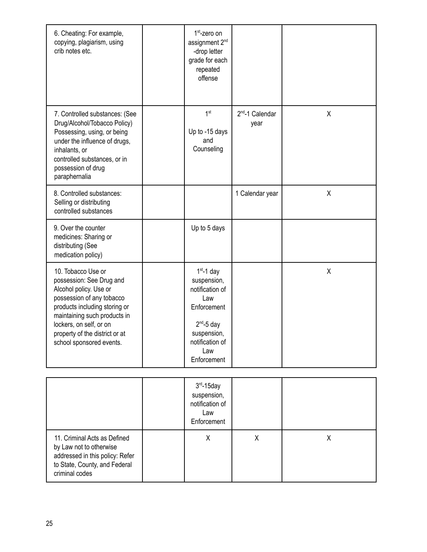| 6. Cheating: For example,<br>copying, plagiarism, using<br>crib notes etc.                                                                                                                                                                                      | $1st$ -zero on<br>assignment 2 <sup>nd</sup><br>-drop letter<br>grade for each<br>repeated<br>offense                                            |                                     |   |
|-----------------------------------------------------------------------------------------------------------------------------------------------------------------------------------------------------------------------------------------------------------------|--------------------------------------------------------------------------------------------------------------------------------------------------|-------------------------------------|---|
| 7. Controlled substances: (See<br>Drug/Alcohol/Tobacco Policy)<br>Possessing, using, or being<br>under the influence of drugs,<br>inhalants, or<br>controlled substances, or in<br>possession of drug<br>paraphernalia                                          | 1 <sup>st</sup><br>Up to -15 days<br>and<br>Counseling                                                                                           | 2 <sup>nd</sup> -1 Calendar<br>year | X |
| 8. Controlled substances:<br>Selling or distributing<br>controlled substances                                                                                                                                                                                   |                                                                                                                                                  | 1 Calendar year                     | X |
| 9. Over the counter<br>medicines: Sharing or<br>distributing (See<br>medication policy)                                                                                                                                                                         | Up to 5 days                                                                                                                                     |                                     |   |
| 10. Tobacco Use or<br>possession: See Drug and<br>Alcohol policy. Use or<br>possession of any tobacco<br>products including storing or<br>maintaining such products in<br>lockers, on self, or on<br>property of the district or at<br>school sponsored events. | $1st - 1$ day<br>suspension,<br>notification of<br>Law<br>Enforcement<br>$2^{nd}$ -5 day<br>suspension,<br>notification of<br>Law<br>Enforcement |                                     | X |

|                                                                                                                                               | $3rd - 15day$<br>suspension,<br>notification of<br>Law<br>Enforcement |   |   |
|-----------------------------------------------------------------------------------------------------------------------------------------------|-----------------------------------------------------------------------|---|---|
| 11. Criminal Acts as Defined<br>by Law not to otherwise<br>addressed in this policy: Refer<br>to State, County, and Federal<br>criminal codes | Χ                                                                     | х | х |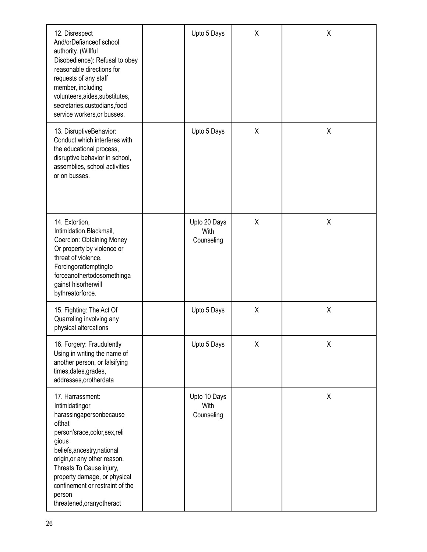| 12. Disrespect<br>And/orDefianceof school<br>authority. (Willful<br>Disobedience): Refusal to obey<br>reasonable directions for<br>requests of any staff<br>member, including<br>volunteers, aides, substitutes,<br>secretaries, custodians, food<br>service workers, or busses.                                      | Upto 5 Days                        | X | X |
|-----------------------------------------------------------------------------------------------------------------------------------------------------------------------------------------------------------------------------------------------------------------------------------------------------------------------|------------------------------------|---|---|
| 13. DisruptiveBehavior:<br>Conduct which interferes with<br>the educational process,<br>disruptive behavior in school,<br>assemblies, school activities<br>or on busses.                                                                                                                                              | Upto 5 Days                        | Χ | χ |
| 14. Extortion,<br>Intimidation, Blackmail,<br>Coercion: Obtaining Money<br>Or property by violence or<br>threat of violence.<br>Forcingorattemptingto<br>forceanothertodosomethinga<br>gainst hisorherwill<br>bythreatorforce.                                                                                        | Upto 20 Days<br>With<br>Counseling | Χ | χ |
| 15. Fighting: The Act Of<br>Quarreling involving any<br>physical altercations                                                                                                                                                                                                                                         | Upto 5 Days                        | χ | χ |
| 16. Forgery: Fraudulently<br>Using in writing the name of<br>another person, or falsifying<br>times, dates, grades,<br>addresses, or otherdata                                                                                                                                                                        | Upto 5 Days                        | χ | χ |
| 17. Harrassment:<br>Intimidatingor<br>harassingapersonbecause<br>ofthat<br>person'srace,color,sex,reli<br>gious<br>beliefs, ancestry, national<br>origin, or any other reason.<br>Threats To Cause injury,<br>property damage, or physical<br>confinement or restraint of the<br>person<br>threatened, orany otheract | Upto 10 Days<br>With<br>Counseling |   | χ |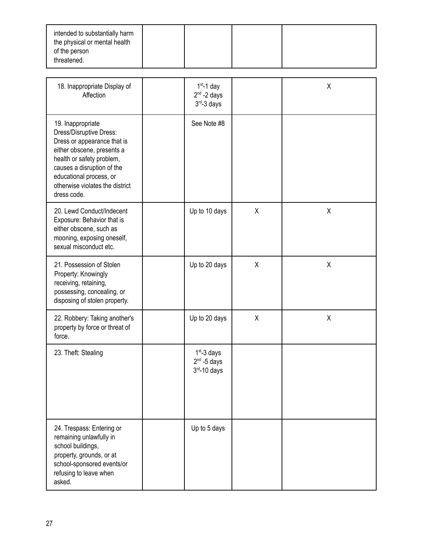| intended to substantially harm<br>the physical or mental health<br>of the person |  |  |  |
|----------------------------------------------------------------------------------|--|--|--|
| threatened.                                                                      |  |  |  |

| 18. Inappropriate Display of<br>Affection                                                                                                                                                                                                         | $1st - 1$ day<br>$2nd - 2$ days<br>$3rd - 3$ days   |   | X |
|---------------------------------------------------------------------------------------------------------------------------------------------------------------------------------------------------------------------------------------------------|-----------------------------------------------------|---|---|
| 19. Inappropriate<br>Dress/Disruptive Dress:<br>Dress or appearance that is<br>either obscene, presents a<br>health or safety problem,<br>causes a disruption of the<br>educational process, or<br>otherwise violates the district<br>dress code. | See Note #8                                         |   |   |
| 20. Lewd Conduct/Indecent<br>Exposure: Behavior that is<br>either obscene, such as<br>mooning, exposing oneself,<br>sexual misconduct etc.                                                                                                        | Up to 10 days                                       | X | X |
| 21. Possession of Stolen<br>Property: Knowingly<br>receiving, retaining,<br>possessing, concealing, or<br>disposing of stolen property.                                                                                                           | Up to 20 days                                       | X | X |
| 22. Robbery: Taking another's<br>property by force or threat of<br>force.                                                                                                                                                                         | Up to 20 days                                       | X | χ |
| 23. Theft: Stealing                                                                                                                                                                                                                               | $1st - 3$ days<br>$2nd - 5$ days<br>$3rd - 10$ days |   |   |
| 24. Trespass: Entering or<br>remaining unlawfully in<br>school buildings,<br>property, grounds, or at<br>school-sponsored events/or<br>refusing to leave when<br>asked.                                                                           | Up to 5 days                                        |   |   |